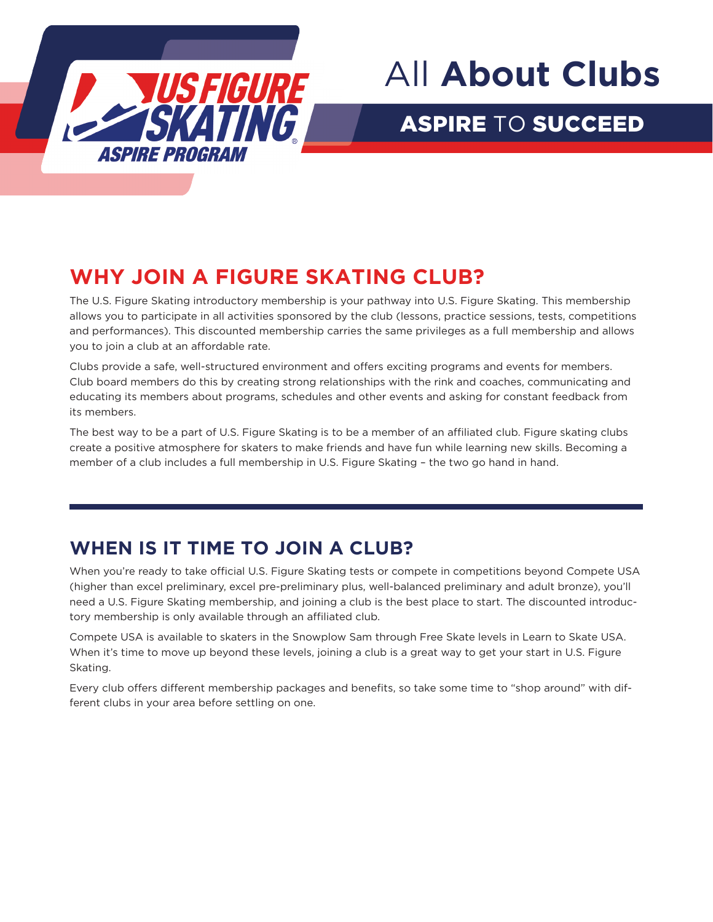

## All **About Clubs**

## ASPIRE TO SUCCEED

## **WHY JOIN A FIGURE SKATING CLUB?**

The U.S. Figure Skating introductory membership is your pathway into U.S. Figure Skating. This membership allows you to participate in all activities sponsored by the club (lessons, practice sessions, tests, competitions and performances). This discounted membership carries the same privileges as a full membership and allows you to join a club at an affordable rate.

Clubs provide a safe, well-structured environment and offers exciting programs and events for members. Club board members do this by creating strong relationships with the rink and coaches, communicating and educating its members about programs, schedules and other events and asking for constant feedback from its members.

The best way to be a part of U.S. Figure Skating is to be a member of an affiliated club. Figure skating clubs create a positive atmosphere for skaters to make friends and have fun while learning new skills. Becoming a member of a club includes a full membership in U.S. Figure Skating – the two go hand in hand.

### **WHEN IS IT TIME TO JOIN A CLUB?**

When you're ready to take official U.S. Figure Skating tests or compete in competitions beyond Compete USA (higher than excel preliminary, excel pre-preliminary plus, well-balanced preliminary and adult bronze), you'll need a U.S. Figure Skating membership, and joining a club is the best place to start. The discounted introductory membership is only available through an affiliated club.

Compete USA is available to skaters in the Snowplow Sam through Free Skate levels in Learn to Skate USA. When it's time to move up beyond these levels, joining a club is a great way to get your start in U.S. Figure Skating.

Every club offers different membership packages and benefits, so take some time to "shop around" with different clubs in your area before settling on one.